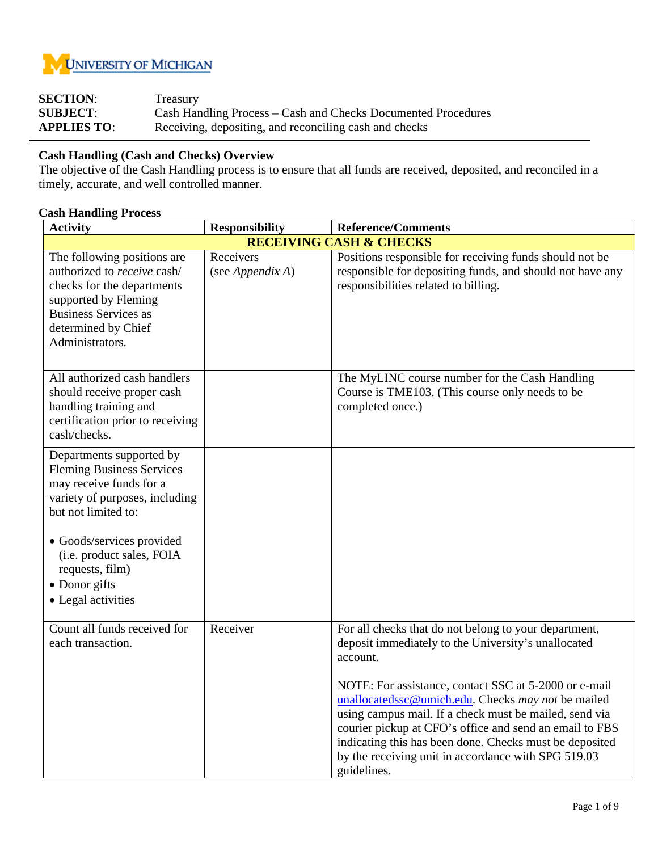

| <b>SECTION:</b>    | Treasury                                                      |
|--------------------|---------------------------------------------------------------|
| <b>SUBJECT:</b>    | Cash Handling Process – Cash and Checks Documented Procedures |
| <b>APPLIES TO:</b> | Receiving, depositing, and reconciling cash and checks        |

## **Cash Handling (Cash and Checks) Overview**

The objective of the Cash Handling process is to ensure that all funds are received, deposited, and reconciled in a timely, accurate, and well controlled manner.

## **Cash Handling Process**

| <b>Activity</b>                                                                                                                                                                                                                                                      | <b>Responsibility</b>         | <b>Reference/Comments</b>                                                                                                                                                                                                                                                                                                                                                                                                                                                                     |
|----------------------------------------------------------------------------------------------------------------------------------------------------------------------------------------------------------------------------------------------------------------------|-------------------------------|-----------------------------------------------------------------------------------------------------------------------------------------------------------------------------------------------------------------------------------------------------------------------------------------------------------------------------------------------------------------------------------------------------------------------------------------------------------------------------------------------|
|                                                                                                                                                                                                                                                                      |                               | <b>RECEIVING CASH &amp; CHECKS</b>                                                                                                                                                                                                                                                                                                                                                                                                                                                            |
| The following positions are<br>authorized to receive cash/<br>checks for the departments<br>supported by Fleming<br><b>Business Services as</b><br>determined by Chief<br>Administrators.                                                                            | Receivers<br>(see Appendix A) | Positions responsible for receiving funds should not be<br>responsible for depositing funds, and should not have any<br>responsibilities related to billing.                                                                                                                                                                                                                                                                                                                                  |
| All authorized cash handlers<br>should receive proper cash<br>handling training and<br>certification prior to receiving<br>cash/checks.                                                                                                                              |                               | The MyLINC course number for the Cash Handling<br>Course is TME103. (This course only needs to be<br>completed once.)                                                                                                                                                                                                                                                                                                                                                                         |
| Departments supported by<br><b>Fleming Business Services</b><br>may receive funds for a<br>variety of purposes, including<br>but not limited to:<br>• Goods/services provided<br>(i.e. product sales, FOIA<br>requests, film)<br>• Donor gifts<br>• Legal activities |                               |                                                                                                                                                                                                                                                                                                                                                                                                                                                                                               |
| Count all funds received for<br>each transaction.                                                                                                                                                                                                                    | Receiver                      | For all checks that do not belong to your department,<br>deposit immediately to the University's unallocated<br>account.<br>NOTE: For assistance, contact SSC at 5-2000 or e-mail<br>unallocatedssc@umich.edu. Checks may not be mailed<br>using campus mail. If a check must be mailed, send via<br>courier pickup at CFO's office and send an email to FBS<br>indicating this has been done. Checks must be deposited<br>by the receiving unit in accordance with SPG 519.03<br>guidelines. |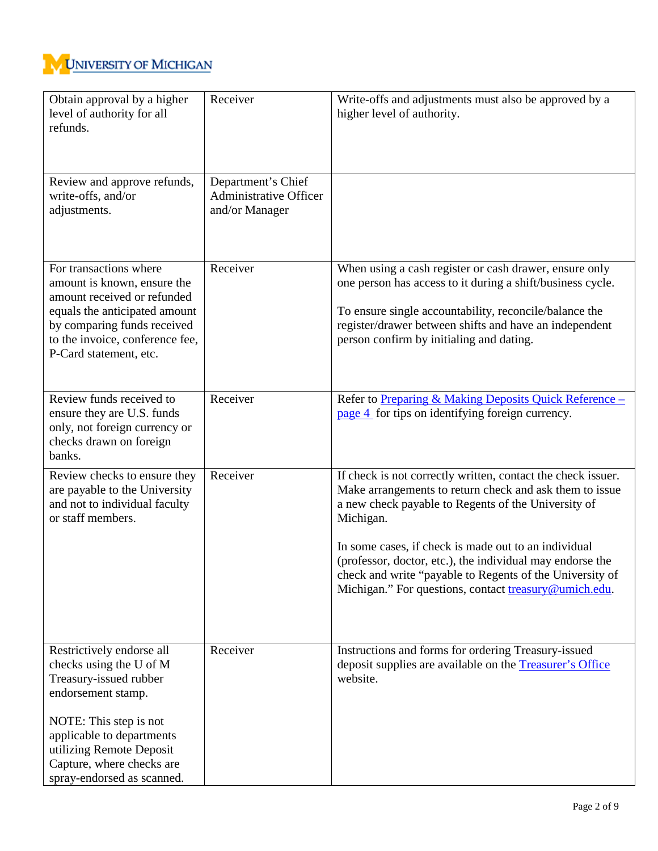

| Obtain approval by a higher<br>level of authority for all<br>refunds.                                                                                                                                                                              | Receiver                                                              | Write-offs and adjustments must also be approved by a<br>higher level of authority.                                                                                                                                                                                                                                                                                                                                                   |
|----------------------------------------------------------------------------------------------------------------------------------------------------------------------------------------------------------------------------------------------------|-----------------------------------------------------------------------|---------------------------------------------------------------------------------------------------------------------------------------------------------------------------------------------------------------------------------------------------------------------------------------------------------------------------------------------------------------------------------------------------------------------------------------|
| Review and approve refunds,<br>write-offs, and/or<br>adjustments.                                                                                                                                                                                  | Department's Chief<br><b>Administrative Officer</b><br>and/or Manager |                                                                                                                                                                                                                                                                                                                                                                                                                                       |
| For transactions where<br>amount is known, ensure the<br>amount received or refunded<br>equals the anticipated amount<br>by comparing funds received<br>to the invoice, conference fee,<br>P-Card statement, etc.                                  | Receiver                                                              | When using a cash register or cash drawer, ensure only<br>one person has access to it during a shift/business cycle.<br>To ensure single accountability, reconcile/balance the<br>register/drawer between shifts and have an independent<br>person confirm by initialing and dating.                                                                                                                                                  |
| Review funds received to<br>ensure they are U.S. funds<br>only, not foreign currency or<br>checks drawn on foreign<br>banks.                                                                                                                       | Receiver                                                              | Refer to Preparing & Making Deposits Quick Reference -<br>page 4 for tips on identifying foreign currency.                                                                                                                                                                                                                                                                                                                            |
| Review checks to ensure they<br>are payable to the University<br>and not to individual faculty<br>or staff members.                                                                                                                                | Receiver                                                              | If check is not correctly written, contact the check issuer.<br>Make arrangements to return check and ask them to issue<br>a new check payable to Regents of the University of<br>Michigan.<br>In some cases, if check is made out to an individual<br>(professor, doctor, etc.), the individual may endorse the<br>check and write "payable to Regents of the University of<br>Michigan." For questions, contact treasury@umich.edu. |
| Restrictively endorse all<br>checks using the U of M<br>Treasury-issued rubber<br>endorsement stamp.<br>NOTE: This step is not<br>applicable to departments<br>utilizing Remote Deposit<br>Capture, where checks are<br>spray-endorsed as scanned. | Receiver                                                              | Instructions and forms for ordering Treasury-issued<br>deposit supplies are available on the Treasurer's Office<br>website.                                                                                                                                                                                                                                                                                                           |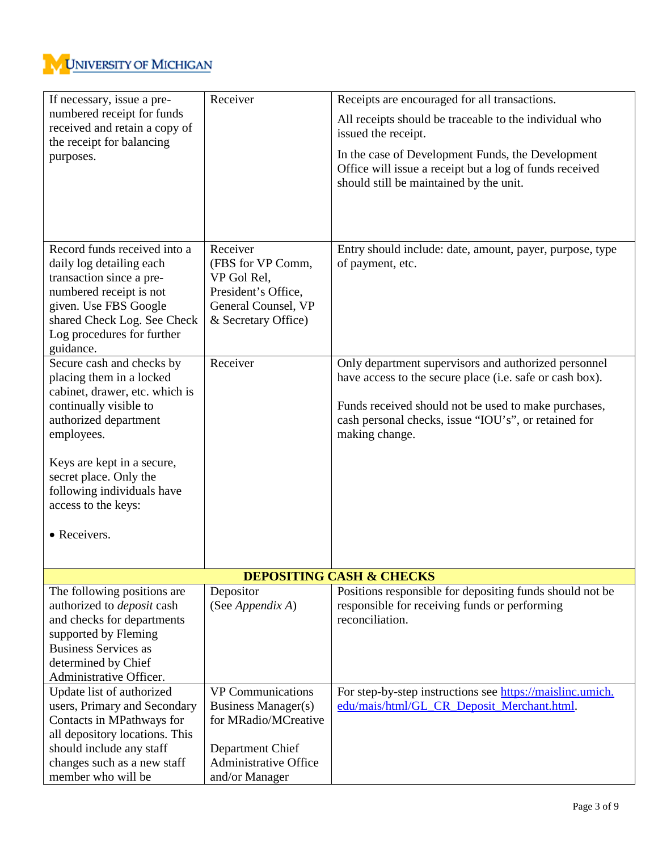

| If necessary, issue a pre-                                       | Receiver                      | Receipts are encouraged for all transactions.                                                                |
|------------------------------------------------------------------|-------------------------------|--------------------------------------------------------------------------------------------------------------|
| numbered receipt for funds                                       |                               | All receipts should be traceable to the individual who                                                       |
| received and retain a copy of                                    |                               | issued the receipt.                                                                                          |
| the receipt for balancing                                        |                               |                                                                                                              |
| purposes.                                                        |                               | In the case of Development Funds, the Development<br>Office will issue a receipt but a log of funds received |
|                                                                  |                               | should still be maintained by the unit.                                                                      |
|                                                                  |                               |                                                                                                              |
|                                                                  |                               |                                                                                                              |
|                                                                  |                               |                                                                                                              |
| Record funds received into a                                     | Receiver                      | Entry should include: date, amount, payer, purpose, type                                                     |
| daily log detailing each                                         | (FBS for VP Comm,             | of payment, etc.                                                                                             |
| transaction since a pre-                                         | VP Gol Rel,                   |                                                                                                              |
| numbered receipt is not                                          | President's Office,           |                                                                                                              |
| given. Use FBS Google                                            | General Counsel, VP           |                                                                                                              |
| shared Check Log. See Check                                      | & Secretary Office)           |                                                                                                              |
| Log procedures for further                                       |                               |                                                                                                              |
| guidance.                                                        |                               |                                                                                                              |
| Secure cash and checks by                                        | Receiver                      | Only department supervisors and authorized personnel                                                         |
| placing them in a locked                                         |                               | have access to the secure place (i.e. safe or cash box).                                                     |
| cabinet, drawer, etc. which is                                   |                               |                                                                                                              |
| continually visible to<br>authorized department                  |                               | Funds received should not be used to make purchases,<br>cash personal checks, issue "IOU's", or retained for |
| employees.                                                       |                               | making change.                                                                                               |
|                                                                  |                               |                                                                                                              |
| Keys are kept in a secure,                                       |                               |                                                                                                              |
| secret place. Only the                                           |                               |                                                                                                              |
| following individuals have                                       |                               |                                                                                                              |
| access to the keys:                                              |                               |                                                                                                              |
| • Receivers.                                                     |                               |                                                                                                              |
|                                                                  |                               |                                                                                                              |
|                                                                  |                               |                                                                                                              |
|                                                                  |                               | <b>DEPOSITING CASH &amp; CHECKS</b>                                                                          |
| The following positions are<br>authorized to <i>deposit</i> cash | Depositor<br>(See Appendix A) | Positions responsible for depositing funds should not be<br>responsible for receiving funds or performing    |
| and checks for departments                                       |                               | reconciliation.                                                                                              |
| supported by Fleming                                             |                               |                                                                                                              |
| <b>Business Services as</b>                                      |                               |                                                                                                              |
| determined by Chief                                              |                               |                                                                                                              |
| Administrative Officer.                                          |                               |                                                                                                              |
| Update list of authorized                                        | <b>VP</b> Communications      | For step-by-step instructions see https://maislinc.umich.                                                    |
| users, Primary and Secondary                                     | <b>Business Manager(s)</b>    | edu/mais/html/GL_CR_Deposit_Merchant.html.                                                                   |
| Contacts in MPathways for                                        | for MRadio/MCreative          |                                                                                                              |
| all depository locations. This                                   |                               |                                                                                                              |
| should include any staff                                         | Department Chief              |                                                                                                              |
| changes such as a new staff                                      | <b>Administrative Office</b>  |                                                                                                              |
| member who will be                                               | and/or Manager                |                                                                                                              |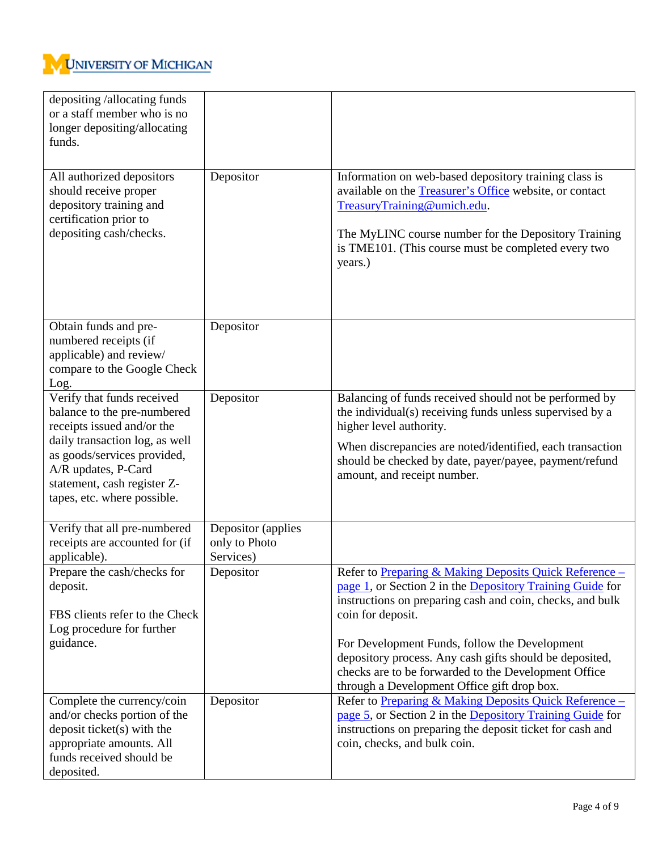

| depositing /allocating funds<br>or a staff member who is no<br>longer depositing/allocating<br>funds.                                                                                                                                         |                                                  |                                                                                                                                                                                                                                                                                                                                                                                                                          |
|-----------------------------------------------------------------------------------------------------------------------------------------------------------------------------------------------------------------------------------------------|--------------------------------------------------|--------------------------------------------------------------------------------------------------------------------------------------------------------------------------------------------------------------------------------------------------------------------------------------------------------------------------------------------------------------------------------------------------------------------------|
| All authorized depositors<br>should receive proper<br>depository training and<br>certification prior to<br>depositing cash/checks.                                                                                                            | Depositor                                        | Information on web-based depository training class is<br>available on the Treasurer's Office website, or contact<br>TreasuryTraining@umich.edu.<br>The MyLINC course number for the Depository Training<br>is TME101. (This course must be completed every two<br>years.)                                                                                                                                                |
| Obtain funds and pre-<br>numbered receipts (if<br>applicable) and review/<br>compare to the Google Check<br>Log.                                                                                                                              | Depositor                                        |                                                                                                                                                                                                                                                                                                                                                                                                                          |
| Verify that funds received<br>balance to the pre-numbered<br>receipts issued and/or the<br>daily transaction log, as well<br>as goods/services provided,<br>A/R updates, P-Card<br>statement, cash register Z-<br>tapes, etc. where possible. | Depositor                                        | Balancing of funds received should not be performed by<br>the individual(s) receiving funds unless supervised by a<br>higher level authority.<br>When discrepancies are noted/identified, each transaction<br>should be checked by date, payer/payee, payment/refund<br>amount, and receipt number.                                                                                                                      |
| Verify that all pre-numbered<br>receipts are accounted for (if<br>applicable).                                                                                                                                                                | Depositor (applies<br>only to Photo<br>Services) |                                                                                                                                                                                                                                                                                                                                                                                                                          |
| Prepare the cash/checks for<br>deposit.<br>FBS clients refer to the Check<br>Log procedure for further<br>guidance.                                                                                                                           | Depositor                                        | Refer to Preparing & Making Deposits Quick Reference -<br>page 1, or Section 2 in the Depository Training Guide for<br>instructions on preparing cash and coin, checks, and bulk<br>coin for deposit.<br>For Development Funds, follow the Development<br>depository process. Any cash gifts should be deposited,<br>checks are to be forwarded to the Development Office<br>through a Development Office gift drop box. |
| Complete the currency/coin<br>and/or checks portion of the<br>deposit ticket(s) with the<br>appropriate amounts. All<br>funds received should be<br>deposited.                                                                                | Depositor                                        | Refer to Preparing & Making Deposits Quick Reference -<br>page 5, or Section 2 in the Depository Training Guide for<br>instructions on preparing the deposit ticket for cash and<br>coin, checks, and bulk coin.                                                                                                                                                                                                         |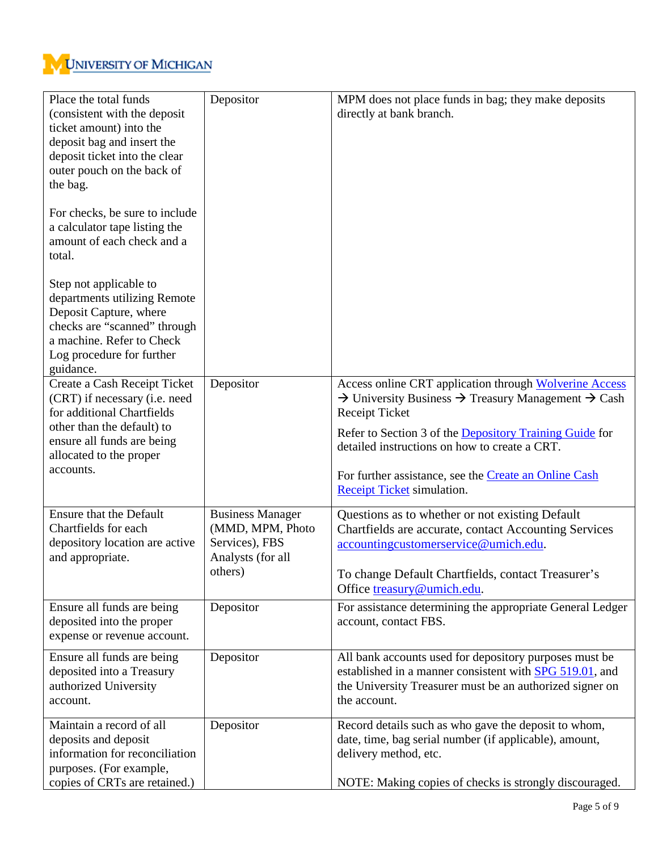

| Place the total funds<br>(consistent with the deposit<br>ticket amount) into the<br>deposit bag and insert the<br>deposit ticket into the clear<br>outer pouch on the back of<br>the bag.<br>For checks, be sure to include<br>a calculator tape listing the<br>amount of each check and a<br>total. | Depositor                                                                                     | MPM does not place funds in bag; they make deposits<br>directly at bank branch.                                                                                                                                                                                                                                                                                              |
|------------------------------------------------------------------------------------------------------------------------------------------------------------------------------------------------------------------------------------------------------------------------------------------------------|-----------------------------------------------------------------------------------------------|------------------------------------------------------------------------------------------------------------------------------------------------------------------------------------------------------------------------------------------------------------------------------------------------------------------------------------------------------------------------------|
| Step not applicable to<br>departments utilizing Remote<br>Deposit Capture, where<br>checks are "scanned" through<br>a machine. Refer to Check<br>Log procedure for further<br>guidance.                                                                                                              |                                                                                               |                                                                                                                                                                                                                                                                                                                                                                              |
| Create a Cash Receipt Ticket<br>(CRT) if necessary (i.e. need<br>for additional Chartfields<br>other than the default) to<br>ensure all funds are being<br>allocated to the proper<br>accounts.                                                                                                      | Depositor                                                                                     | Access online CRT application through Wolverine Access<br>$\rightarrow$ University Business $\rightarrow$ Treasury Management $\rightarrow$ Cash<br><b>Receipt Ticket</b><br>Refer to Section 3 of the Depository Training Guide for<br>detailed instructions on how to create a CRT.<br>For further assistance, see the Create an Online Cash<br>Receipt Ticket simulation. |
| Ensure that the Default<br>Chartfields for each<br>depository location are active<br>and appropriate.                                                                                                                                                                                                | <b>Business Manager</b><br>(MMD, MPM, Photo<br>Services), FBS<br>Analysts (for all<br>others) | Questions as to whether or not existing Default<br>Chartfields are accurate, contact Accounting Services<br>accountingcustomerservice@umich.edu.<br>To change Default Chartfields, contact Treasurer's<br>Office treasury@umich.edu.                                                                                                                                         |
| Ensure all funds are being<br>deposited into the proper<br>expense or revenue account.                                                                                                                                                                                                               | Depositor                                                                                     | For assistance determining the appropriate General Ledger<br>account, contact FBS.                                                                                                                                                                                                                                                                                           |
| Ensure all funds are being<br>deposited into a Treasury<br>authorized University<br>account.                                                                                                                                                                                                         | Depositor                                                                                     | All bank accounts used for depository purposes must be<br>established in a manner consistent with SPG 519.01, and<br>the University Treasurer must be an authorized signer on<br>the account.                                                                                                                                                                                |
| Maintain a record of all<br>deposits and deposit<br>information for reconciliation<br>purposes. (For example,<br>copies of CRTs are retained.)                                                                                                                                                       | Depositor                                                                                     | Record details such as who gave the deposit to whom,<br>date, time, bag serial number (if applicable), amount,<br>delivery method, etc.<br>NOTE: Making copies of checks is strongly discouraged.                                                                                                                                                                            |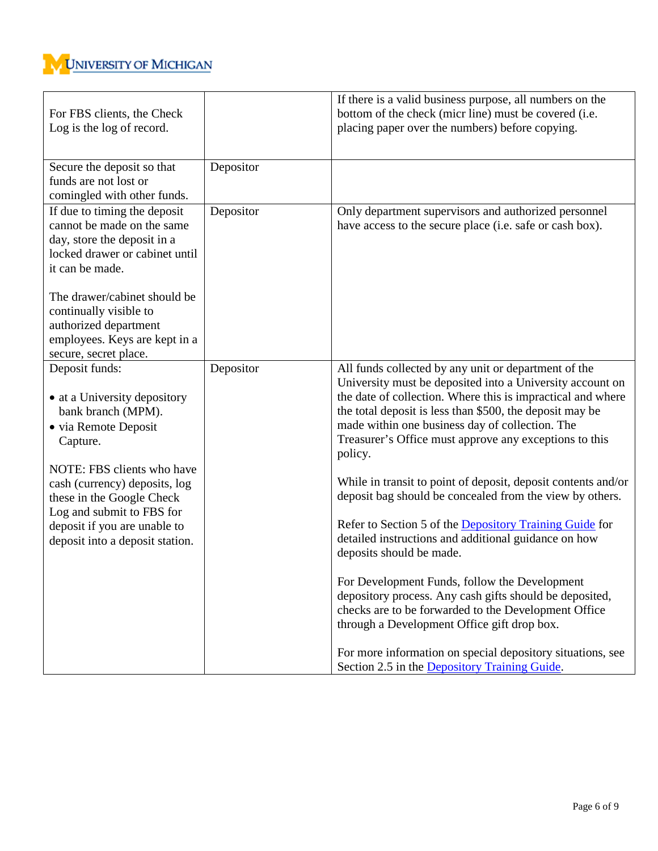

| For FBS clients, the Check<br>Log is the log of record.                                                                                               |           | If there is a valid business purpose, all numbers on the<br>bottom of the check (micr line) must be covered (i.e.<br>placing paper over the numbers) before copying.                                                                                                                                                                                                 |
|-------------------------------------------------------------------------------------------------------------------------------------------------------|-----------|----------------------------------------------------------------------------------------------------------------------------------------------------------------------------------------------------------------------------------------------------------------------------------------------------------------------------------------------------------------------|
| Secure the deposit so that<br>funds are not lost or<br>comingled with other funds.                                                                    | Depositor |                                                                                                                                                                                                                                                                                                                                                                      |
| If due to timing the deposit<br>cannot be made on the same<br>day, store the deposit in a<br>locked drawer or cabinet until<br>it can be made.        | Depositor | Only department supervisors and authorized personnel<br>have access to the secure place (i.e. safe or cash box).                                                                                                                                                                                                                                                     |
| The drawer/cabinet should be<br>continually visible to<br>authorized department<br>employees. Keys are kept in a<br>secure, secret place.             |           |                                                                                                                                                                                                                                                                                                                                                                      |
| Deposit funds:<br>• at a University depository<br>bank branch (MPM).<br>• via Remote Deposit<br>Capture.                                              | Depositor | All funds collected by any unit or department of the<br>University must be deposited into a University account on<br>the date of collection. Where this is impractical and where<br>the total deposit is less than \$500, the deposit may be<br>made within one business day of collection. The<br>Treasurer's Office must approve any exceptions to this<br>policy. |
| NOTE: FBS clients who have<br>cash (currency) deposits, log<br>these in the Google Check<br>Log and submit to FBS for<br>deposit if you are unable to |           | While in transit to point of deposit, deposit contents and/or<br>deposit bag should be concealed from the view by others.<br>Refer to Section 5 of the Depository Training Guide for                                                                                                                                                                                 |
| deposit into a deposit station.                                                                                                                       |           | detailed instructions and additional guidance on how<br>deposits should be made.                                                                                                                                                                                                                                                                                     |
|                                                                                                                                                       |           | For Development Funds, follow the Development<br>depository process. Any cash gifts should be deposited,<br>checks are to be forwarded to the Development Office<br>through a Development Office gift drop box.                                                                                                                                                      |
|                                                                                                                                                       |           | For more information on special depository situations, see<br>Section 2.5 in the Depository Training Guide.                                                                                                                                                                                                                                                          |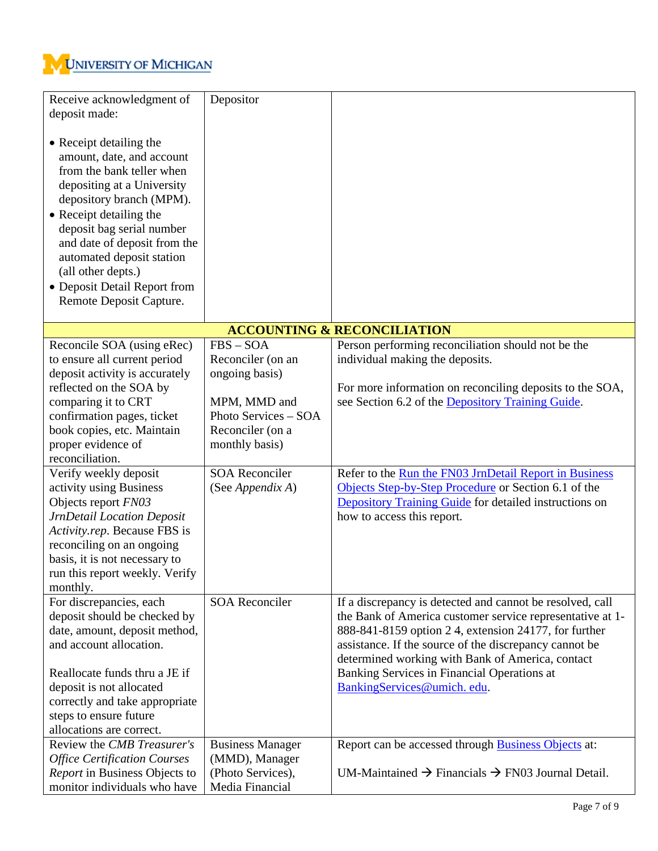

| Receive acknowledgment of<br>deposit made:<br>• Receipt detailing the<br>amount, date, and account<br>from the bank teller when<br>depositing at a University<br>depository branch (MPM).<br>• Receipt detailing the<br>deposit bag serial number<br>and date of deposit from the<br>automated deposit station<br>(all other depts.)<br>• Deposit Detail Report from<br>Remote Deposit Capture.                                                                                                     | Depositor                                                                                                                                                                     |                                                                                                                                                                                                                                                                                                                                                                                                                                                                                                                      |
|-----------------------------------------------------------------------------------------------------------------------------------------------------------------------------------------------------------------------------------------------------------------------------------------------------------------------------------------------------------------------------------------------------------------------------------------------------------------------------------------------------|-------------------------------------------------------------------------------------------------------------------------------------------------------------------------------|----------------------------------------------------------------------------------------------------------------------------------------------------------------------------------------------------------------------------------------------------------------------------------------------------------------------------------------------------------------------------------------------------------------------------------------------------------------------------------------------------------------------|
|                                                                                                                                                                                                                                                                                                                                                                                                                                                                                                     |                                                                                                                                                                               | <b>ACCOUNTING &amp; RECONCILIATION</b>                                                                                                                                                                                                                                                                                                                                                                                                                                                                               |
| Reconcile SOA (using eRec)<br>to ensure all current period<br>deposit activity is accurately<br>reflected on the SOA by<br>comparing it to CRT<br>confirmation pages, ticket<br>book copies, etc. Maintain<br>proper evidence of<br>reconciliation.<br>Verify weekly deposit<br>activity using Business<br>Objects report FN03<br><b>JrnDetail Location Deposit</b><br>Activity.rep. Because FBS is<br>reconciling on an ongoing<br>basis, it is not necessary to<br>run this report weekly. Verify | $FBS - SOA$<br>Reconciler (on an<br>ongoing basis)<br>MPM, MMD and<br>Photo Services - SOA<br>Reconciler (on a<br>monthly basis)<br><b>SOA Reconciler</b><br>(See Appendix A) | Person performing reconciliation should not be the<br>individual making the deposits.<br>For more information on reconciling deposits to the SOA,<br>see Section 6.2 of the Depository Training Guide.<br>Refer to the Run the FN03 JrnDetail Report in Business<br>Objects Step-by-Step Procedure or Section 6.1 of the<br>Depository Training Guide for detailed instructions on<br>how to access this report.                                                                                                     |
| monthly.<br>For discrepancies, each<br>deposit should be checked by<br>date, amount, deposit method,<br>and account allocation.<br>Reallocate funds thru a JE if<br>deposit is not allocated<br>correctly and take appropriate<br>steps to ensure future<br>allocations are correct.<br>Review the CMB Treasurer's<br><b>Office Certification Courses</b><br>Report in Business Objects to                                                                                                          | <b>SOA Reconciler</b><br><b>Business Manager</b><br>(MMD), Manager<br>(Photo Services),                                                                                       | If a discrepancy is detected and cannot be resolved, call<br>the Bank of America customer service representative at 1-<br>888-841-8159 option 24, extension 24177, for further<br>assistance. If the source of the discrepancy cannot be<br>determined working with Bank of America, contact<br>Banking Services in Financial Operations at<br>BankingServices@umich.edu.<br>Report can be accessed through <b>Business Objects</b> at:<br>UM-Maintained $\rightarrow$ Financials $\rightarrow$ FN03 Journal Detail. |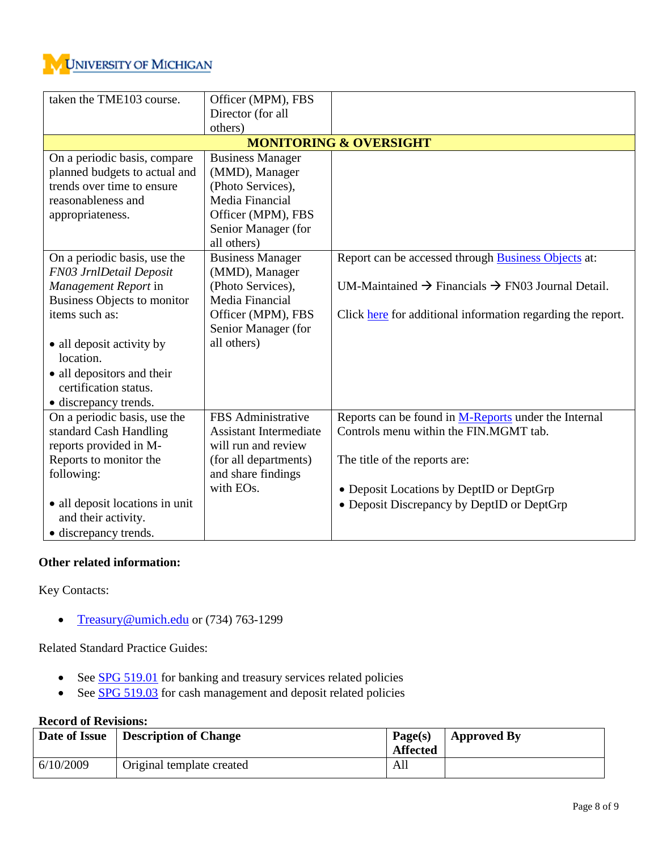

| taken the TME103 course.           | Officer (MPM), FBS            |                                                                           |
|------------------------------------|-------------------------------|---------------------------------------------------------------------------|
|                                    | Director (for all             |                                                                           |
|                                    | others)                       |                                                                           |
|                                    |                               | <b>MONITORING &amp; OVERSIGHT</b>                                         |
| On a periodic basis, compare       | <b>Business Manager</b>       |                                                                           |
| planned budgets to actual and      | (MMD), Manager                |                                                                           |
| trends over time to ensure         | (Photo Services),             |                                                                           |
| reasonableness and                 | Media Financial               |                                                                           |
| appropriateness.                   | Officer (MPM), FBS            |                                                                           |
|                                    | Senior Manager (for           |                                                                           |
|                                    | all others)                   |                                                                           |
| On a periodic basis, use the       | <b>Business Manager</b>       | Report can be accessed through <b>Business Objects</b> at:                |
| FN03 JrnlDetail Deposit            | (MMD), Manager                |                                                                           |
| Management Report in               | (Photo Services),             | UM-Maintained $\rightarrow$ Financials $\rightarrow$ FN03 Journal Detail. |
| <b>Business Objects to monitor</b> | Media Financial               |                                                                           |
| items such as:                     | Officer (MPM), FBS            | Click here for additional information regarding the report.               |
|                                    | Senior Manager (for           |                                                                           |
| • all deposit activity by          | all others)                   |                                                                           |
| location.                          |                               |                                                                           |
| • all depositors and their         |                               |                                                                           |
| certification status.              |                               |                                                                           |
| • discrepancy trends.              |                               |                                                                           |
| On a periodic basis, use the       | FBS Administrative            | Reports can be found in M-Reports under the Internal                      |
| standard Cash Handling             | <b>Assistant Intermediate</b> | Controls menu within the FIN.MGMT tab.                                    |
| reports provided in M-             | will run and review           |                                                                           |
| Reports to monitor the             | (for all departments)         | The title of the reports are:                                             |
| following:                         | and share findings            |                                                                           |
|                                    | with EOs.                     | • Deposit Locations by DeptID or DeptGrp                                  |
| • all deposit locations in unit    |                               | • Deposit Discrepancy by DeptID or DeptGrp                                |
| and their activity.                |                               |                                                                           |
| • discrepancy trends.              |                               |                                                                           |

## **Other related information:**

Key Contacts:

• [Treasury@umich.edu](mailto:Treasury@umich.edu) or (734) 763-1299

Related Standard Practice Guides:

- See **SPG 519.01** for banking and treasury services related policies
- See [SPG 519.03](http://spg.umich.edu/pdf/519.03.pdf) for cash management and deposit related policies

## **Record of Revisions:**

| Date of Issue | Description of Change     | Page(s)<br><b>Affected</b> | <b>Approved By</b> |
|---------------|---------------------------|----------------------------|--------------------|
| 6/10/2009     | Original template created | All                        |                    |